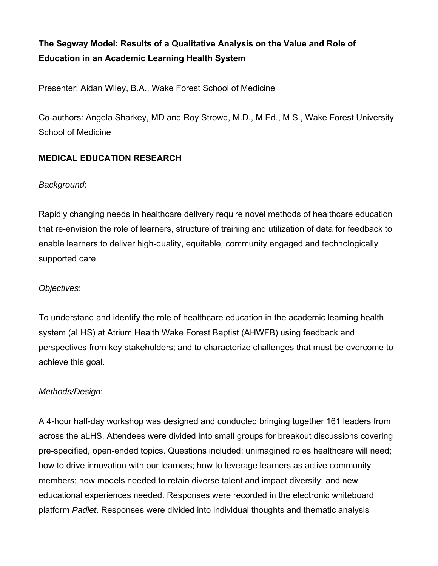# **The Segway Model: Results of a Qualitative Analysis on the Value and Role of Education in an Academic Learning Health System**

Presenter: Aidan Wiley, B.A., Wake Forest School of Medicine

Co-authors: Angela Sharkey, MD and Roy Strowd, M.D., M.Ed., M.S., Wake Forest University School of Medicine

## **MEDICAL EDUCATION RESEARCH**

### *Background*:

Rapidly changing needs in healthcare delivery require novel methods of healthcare education that re-envision the role of learners, structure of training and utilization of data for feedback to enable learners to deliver high-quality, equitable, community engaged and technologically supported care.

### *Objectives*:

To understand and identify the role of healthcare education in the academic learning health system (aLHS) at Atrium Health Wake Forest Baptist (AHWFB) using feedback and perspectives from key stakeholders; and to characterize challenges that must be overcome to achieve this goal.

### *Methods/Design*:

A 4-hour half-day workshop was designed and conducted bringing together 161 leaders from across the aLHS. Attendees were divided into small groups for breakout discussions covering pre-specified, open-ended topics. Questions included: unimagined roles healthcare will need; how to drive innovation with our learners; how to leverage learners as active community members; new models needed to retain diverse talent and impact diversity; and new educational experiences needed. Responses were recorded in the electronic whiteboard platform *Padlet*. Responses were divided into individual thoughts and thematic analysis